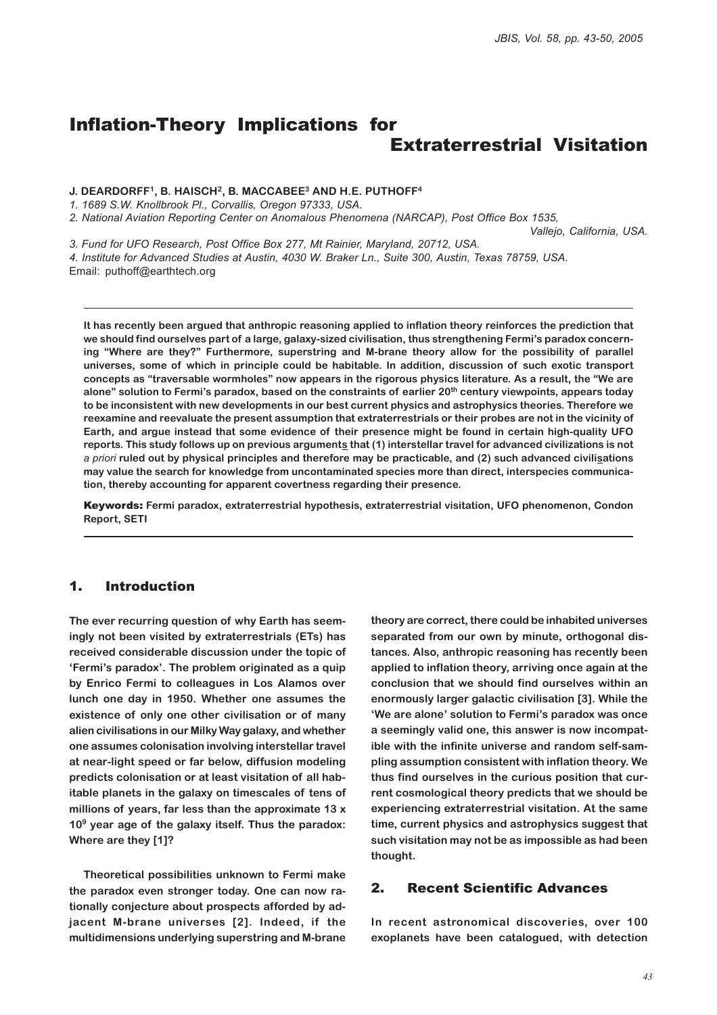# Inflation-Theory Implications for Extraterrestrial Visitation

#### **J. DEARDORFF1, B. HAISCH2, B. MACCABEE3 AND H.E. PUTHOFF4**

*1. 1689 S.W. Knollbrook Pl., Corvallis, Oregon 97333, USA.*

*2. National Aviation Reporting Center on Anomalous Phenomena (NARCAP), Post Office Box 1535,*

*Vallejo, California, USA.*

*3. Fund for UFO Research, Post Office Box 277, Mt Rainier, Maryland, 20712, USA.*

*4. Institute for Advanced Studies at Austin, 4030 W. Braker Ln., Suite 300, Austin, Texas 78759, USA.*

Email: puthoff@earthtech.org

**It has recently been argued that anthropic reasoning applied to inflation theory reinforces the prediction that we should find ourselves part of a large, galaxy-sized civilisation, thus strengthening Fermi's paradox concerning "Where are they?" Furthermore, superstring and M-brane theory allow for the possibility of parallel universes, some of which in principle could be habitable. In addition, discussion of such exotic transport concepts as "traversable wormholes" now appears in the rigorous physics literature. As a result, the "We are alone" solution to Fermi's paradox, based on the constraints of earlier 20th century viewpoints, appears today to be inconsistent with new developments in our best current physics and astrophysics theories. Therefore we reexamine and reevaluate the present assumption that extraterrestrials or their probes are not in the vicinity of Earth, and argue instead that some evidence of their presence might be found in certain high-quality UFO reports. This study follows up on previous arguments that (1) interstellar travel for advanced civilizations is not** *a priori* **ruled out by physical principles and therefore may be practicable, and (2) such advanced civilisations may value the search for knowledge from uncontaminated species more than direct, interspecies communication, thereby accounting for apparent covertness regarding their presence.**

Keywords: **Fermi paradox, extraterrestrial hypothesis, extraterrestrial visitation, UFO phenomenon, Condon Report, SETI**

# 1. Introduction

**The ever recurring question of why Earth has seemingly not been visited by extraterrestrials (ETs) has received considerable discussion under the topic of 'Fermi's paradox'. The problem originated as a quip by Enrico Fermi to colleagues in Los Alamos over lunch one day in 1950. Whether one assumes the existence of only one other civilisation or of many alien civilisations in our Milky Way galaxy, and whether one assumes colonisation involving interstellar travel at near-light speed or far below, diffusion modeling predicts colonisation or at least visitation of all habitable planets in the galaxy on timescales of tens of millions of years, far less than the approximate 13 x 109 year age of the galaxy itself. Thus the paradox: Where are they [1]?**

**Theoretical possibilities unknown to Fermi make the paradox even stronger today. One can now rationally conjecture about prospects afforded by adjacent M-brane universes [2]. Indeed, if the multidimensions underlying superstring and M-brane**

**theory are correct, there could be inhabited universes separated from our own by minute, orthogonal distances. Also, anthropic reasoning has recently been applied to inflation theory, arriving once again at the conclusion that we should find ourselves within an enormously larger galactic civilisation [3]. While the 'We are alone' solution to Fermi's paradox was once a seemingly valid one, this answer is now incompatible with the infinite universe and random self-sampling assumption consistent with inflation theory. We thus find ourselves in the curious position that current cosmological theory predicts that we should be experiencing extraterrestrial visitation. At the same time, current physics and astrophysics suggest that such visitation may not be as impossible as had been thought.**

#### 2. Recent Scientific Advances

**In recent astronomical discoveries, over 100 exoplanets have been catalogued, with detection**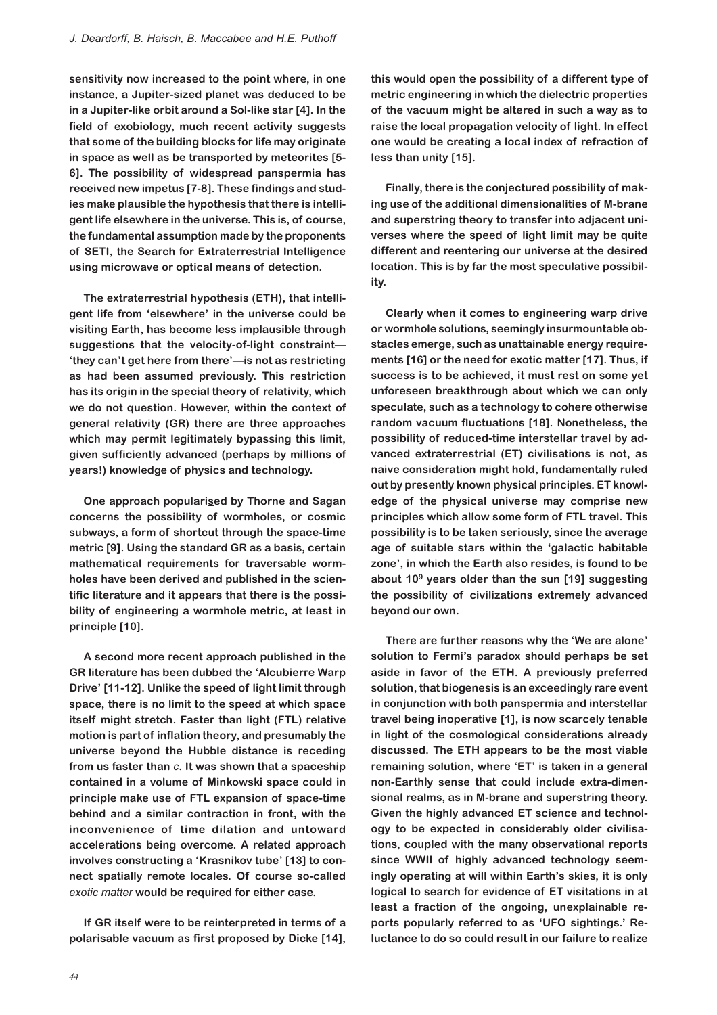**sensitivity now increased to the point where, in one instance, a Jupiter-sized planet was deduced to be in a Jupiter-like orbit around a Sol-like star [4]. In the field of exobiology, much recent activity suggests that some of the building blocks for life may originate in space as well as be transported by meteorites [5- 6]. The possibility of widespread panspermia has received new impetus [7-8]. These findings and studies make plausible the hypothesis that there is intelligent life elsewhere in the universe. This is, of course, the fundamental assumption made by the proponents of SETI, the Search for Extraterrestrial Intelligence using microwave or optical means of detection.**

**The extraterrestrial hypothesis (ETH), that intelligent life from 'elsewhere' in the universe could be visiting Earth, has become less implausible through suggestions that the velocity-of-light constraint— 'they can't get here from there'—is not as restricting as had been assumed previously. This restriction has its origin in the special theory of relativity, which we do not question. However, within the context of general relativity (GR) there are three approaches which may permit legitimately bypassing this limit, given sufficiently advanced (perhaps by millions of years!) knowledge of physics and technology.**

**One approach popularised by Thorne and Sagan concerns the possibility of wormholes, or cosmic subways, a form of shortcut through the space-time metric [9]. Using the standard GR as a basis, certain mathematical requirements for traversable wormholes have been derived and published in the scientific literature and it appears that there is the possibility of engineering a wormhole metric, at least in principle [10].**

**A second more recent approach published in the GR literature has been dubbed the 'Alcubierre Warp Drive' [11-12]. Unlike the speed of light limit through space, there is no limit to the speed at which space itself might stretch. Faster than light (FTL) relative motion is part of inflation theory, and presumably the universe beyond the Hubble distance is receding from us faster than** *c***. It was shown that a spaceship contained in a volume of Minkowski space could in principle make use of FTL expansion of space-time behind and a similar contraction in front, with the inconvenience of time dilation and untoward accelerations being overcome. A related approach involves constructing a 'Krasnikov tube' [13] to connect spatially remote locales. Of course so-called** *exotic matter* **would be required for either case.**

**If GR itself were to be reinterpreted in terms of a polarisable vacuum as first proposed by Dicke [14],**

**this would open the possibility of a different type of metric engineering in which the dielectric properties of the vacuum might be altered in such a way as to raise the local propagation velocity of light. In effect one would be creating a local index of refraction of less than unity [15].**

**Finally, there is the conjectured possibility of making use of the additional dimensionalities of M-brane and superstring theory to transfer into adjacent universes where the speed of light limit may be quite different and reentering our universe at the desired location. This is by far the most speculative possibility.**

**Clearly when it comes to engineering warp drive or wormhole solutions, seemingly insurmountable obstacles emerge, such as unattainable energy requirements [16] or the need for exotic matter [17]. Thus, if success is to be achieved, it must rest on some yet unforeseen breakthrough about which we can only speculate, such as a technology to cohere otherwise random vacuum fluctuations [18]. Nonetheless, the possibility of reduced-time interstellar travel by advanced extraterrestrial (ET) civilisations is not, as naive consideration might hold, fundamentally ruled out by presently known physical principles. ET knowledge of the physical universe may comprise new principles which allow some form of FTL travel. This possibility is to be taken seriously, since the average age of suitable stars within the 'galactic habitable zone', in which the Earth also resides, is found to be about 109 years older than the sun [19] suggesting the possibility of civilizations extremely advanced beyond our own.**

**There are further reasons why the 'We are alone' solution to Fermi's paradox should perhaps be set aside in favor of the ETH. A previously preferred solution, that biogenesis is an exceedingly rare event in conjunction with both panspermia and interstellar travel being inoperative [1], is now scarcely tenable in light of the cosmological considerations already discussed. The ETH appears to be the most viable remaining solution, where 'ET' is taken in a general non-Earthly sense that could include extra-dimensional realms, as in M-brane and superstring theory. Given the highly advanced ET science and technology to be expected in considerably older civilisations, coupled with the many observational reports since WWII of highly advanced technology seemingly operating at will within Earth's skies, it is only logical to search for evidence of ET visitations in at least a fraction of the ongoing, unexplainable reports popularly referred to as 'UFO sightings.' Reluctance to do so could result in our failure to realize**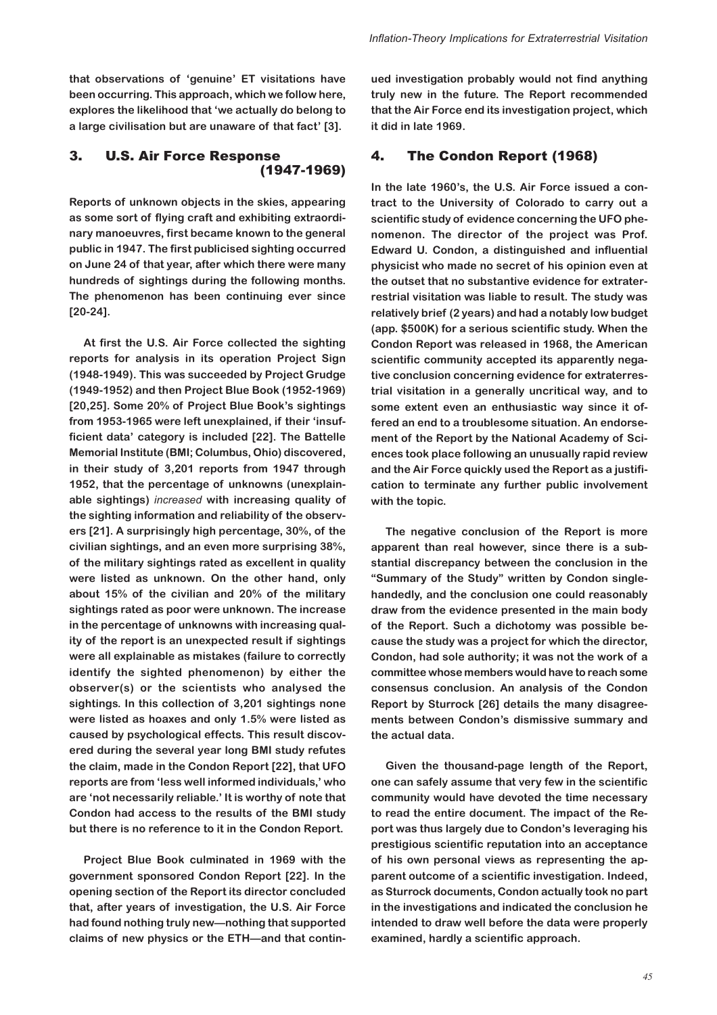**that observations of 'genuine' ET visitations have been occurring. This approach, which we follow here, explores the likelihood that 'we actually do belong to a large civilisation but are unaware of that fact' [3].**

# 3. U.S. Air Force Response (1947-1969)

**Reports of unknown objects in the skies, appearing as some sort of flying craft and exhibiting extraordinary manoeuvres, first became known to the general public in 1947. The first publicised sighting occurred on June 24 of that year, after which there were many hundreds of sightings during the following months. The phenomenon has been continuing ever since [20-24].**

**At first the U.S. Air Force collected the sighting reports for analysis in its operation Project Sign (1948-1949). This was succeeded by Project Grudge (1949-1952) and then Project Blue Book (1952-1969) [20,25]. Some 20% of Project Blue Book's sightings from 1953-1965 were left unexplained, if their 'insufficient data' category is included [22]. The Battelle Memorial Institute (BMI; Columbus, Ohio) discovered, in their study of 3,201 reports from 1947 through 1952, that the percentage of unknowns (unexplainable sightings)** *increased* **with increasing quality of the sighting information and reliability of the observers [21]. A surprisingly high percentage, 30%, of the civilian sightings, and an even more surprising 38%, of the military sightings rated as excellent in quality were listed as unknown. On the other hand, only about 15% of the civilian and 20% of the military sightings rated as poor were unknown. The increase in the percentage of unknowns with increasing quality of the report is an unexpected result if sightings were all explainable as mistakes (failure to correctly identify the sighted phenomenon) by either the observer(s) or the scientists who analysed the sightings. In this collection of 3,201 sightings none were listed as hoaxes and only 1.5% were listed as caused by psychological effects. This result discovered during the several year long BMI study refutes the claim, made in the Condon Report [22], that UFO reports are from 'less well informed individuals,' who are 'not necessarily reliable.' It is worthy of note that Condon had access to the results of the BMI study but there is no reference to it in the Condon Report.**

**Project Blue Book culminated in 1969 with the government sponsored Condon Report [22]. In the opening section of the Report its director concluded that, after years of investigation, the U.S. Air Force had found nothing truly new—nothing that supported claims of new physics or the ETH—and that contin-** **ued investigation probably would not find anything truly new in the future. The Report recommended that the Air Force end its investigation project, which it did in late 1969.**

# 4. The Condon Report (1968)

**In the late 1960's, the U.S. Air Force issued a contract to the University of Colorado to carry out a scientific study of evidence concerning the UFO phenomenon. The director of the project was Prof. Edward U. Condon, a distinguished and influential physicist who made no secret of his opinion even at the outset that no substantive evidence for extraterrestrial visitation was liable to result. The study was relatively brief (2 years) and had a notably low budget (app. \$500K) for a serious scientific study. When the Condon Report was released in 1968, the American scientific community accepted its apparently negative conclusion concerning evidence for extraterrestrial visitation in a generally uncritical way, and to some extent even an enthusiastic way since it offered an end to a troublesome situation. An endorsement of the Report by the National Academy of Sciences took place following an unusually rapid review and the Air Force quickly used the Report as a justification to terminate any further public involvement with the topic.**

**The negative conclusion of the Report is more apparent than real however, since there is a substantial discrepancy between the conclusion in the "Summary of the Study" written by Condon singlehandedly, and the conclusion one could reasonably draw from the evidence presented in the main body of the Report. Such a dichotomy was possible because the study was a project for which the director, Condon, had sole authority; it was not the work of a committee whose members would have to reach some consensus conclusion. An analysis of the Condon Report by Sturrock [26] details the many disagreements between Condon's dismissive summary and the actual data.**

**Given the thousand-page length of the Report, one can safely assume that very few in the scientific community would have devoted the time necessary to read the entire document. The impact of the Report was thus largely due to Condon's leveraging his prestigious scientific reputation into an acceptance of his own personal views as representing the apparent outcome of a scientific investigation. Indeed, as Sturrock documents, Condon actually took no part in the investigations and indicated the conclusion he intended to draw well before the data were properly examined, hardly a scientific approach.**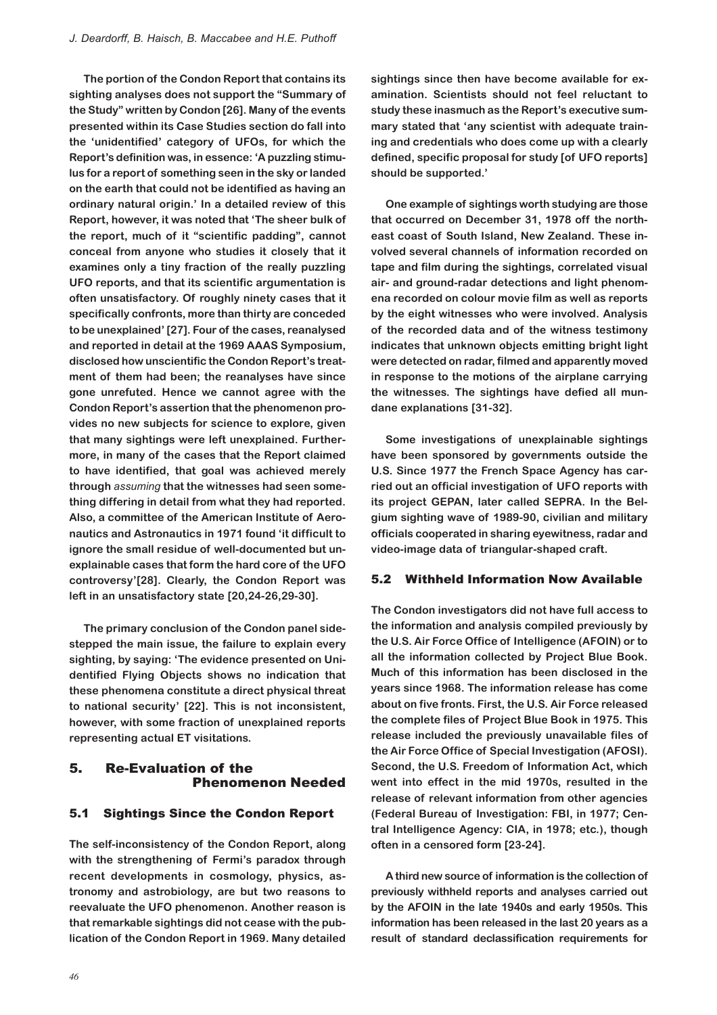**The portion of the Condon Report that contains its sighting analyses does not support the "Summary of the Study" written by Condon [26]. Many of the events presented within its Case Studies section do fall into the 'unidentified' category of UFOs, for which the Report's definition was, in essence: 'A puzzling stimulus for a report of something seen in the sky or landed on the earth that could not be identified as having an ordinary natural origin.' In a detailed review of this Report, however, it was noted that 'The sheer bulk of the report, much of it "scientific padding", cannot conceal from anyone who studies it closely that it examines only a tiny fraction of the really puzzling UFO reports, and that its scientific argumentation is often unsatisfactory. Of roughly ninety cases that it specifically confronts, more than thirty are conceded to be unexplained' [27]. Four of the cases, reanalysed and reported in detail at the 1969 AAAS Symposium, disclosed how unscientific the Condon Report's treatment of them had been; the reanalyses have since gone unrefuted. Hence we cannot agree with the Condon Report's assertion that the phenomenon provides no new subjects for science to explore, given that many sightings were left unexplained. Furthermore, in many of the cases that the Report claimed to have identified, that goal was achieved merely through** *assuming* **that the witnesses had seen something differing in detail from what they had reported. Also, a committee of the American Institute of Aeronautics and Astronautics in 1971 found 'it difficult to ignore the small residue of well-documented but unexplainable cases that form the hard core of the UFO controversy'[28]. Clearly, the Condon Report was left in an unsatisfactory state [20,24-26,29-30].**

**The primary conclusion of the Condon panel sidestepped the main issue, the failure to explain every sighting, by saying: 'The evidence presented on Unidentified Flying Objects shows no indication that these phenomena constitute a direct physical threat to national security' [22]. This is not inconsistent, however, with some fraction of unexplained reports representing actual ET visitations.**

## 5. Re-Evaluation of the Phenomenon Needed

#### 5.1 Sightings Since the Condon Report

**The self-inconsistency of the Condon Report, along with the strengthening of Fermi's paradox through recent developments in cosmology, physics, astronomy and astrobiology, are but two reasons to reevaluate the UFO phenomenon. Another reason is that remarkable sightings did not cease with the publication of the Condon Report in 1969. Many detailed**

**sightings since then have become available for examination. Scientists should not feel reluctant to study these inasmuch as the Report's executive summary stated that 'any scientist with adequate training and credentials who does come up with a clearly defined, specific proposal for study [of UFO reports] should be supported.'**

**One example of sightings worth studying are those that occurred on December 31, 1978 off the northeast coast of South Island, New Zealand. These involved several channels of information recorded on tape and film during the sightings, correlated visual air- and ground-radar detections and light phenomena recorded on colour movie film as well as reports by the eight witnesses who were involved. Analysis of the recorded data and of the witness testimony indicates that unknown objects emitting bright light were detected on radar, filmed and apparently moved in response to the motions of the airplane carrying the witnesses. The sightings have defied all mundane explanations [31-32].**

**Some investigations of unexplainable sightings have been sponsored by governments outside the U.S. Since 1977 the French Space Agency has carried out an official investigation of UFO reports with its project GEPAN, later called SEPRA. In the Belgium sighting wave of 1989-90, civilian and military officials cooperated in sharing eyewitness, radar and video-image data of triangular-shaped craft.**

#### 5.2 Withheld Information Now Available

**The Condon investigators did not have full access to the information and analysis compiled previously by the U.S. Air Force Office of Intelligence (AFOIN) or to all the information collected by Project Blue Book. Much of this information has been disclosed in the years since 1968. The information release has come about on five fronts. First, the U.S. Air Force released the complete files of Project Blue Book in 1975. This release included the previously unavailable files of the Air Force Office of Special Investigation (AFOSI). Second, the U.S. Freedom of Information Act, which went into effect in the mid 1970s, resulted in the release of relevant information from other agencies (Federal Bureau of Investigation: FBI, in 1977; Central Intelligence Agency: CIA, in 1978; etc.), though often in a censored form [23-24].**

**A third new source of information is the collection of previously withheld reports and analyses carried out by the AFOIN in the late 1940s and early 1950s. This information has been released in the last 20 years as a result of standard declassification requirements for**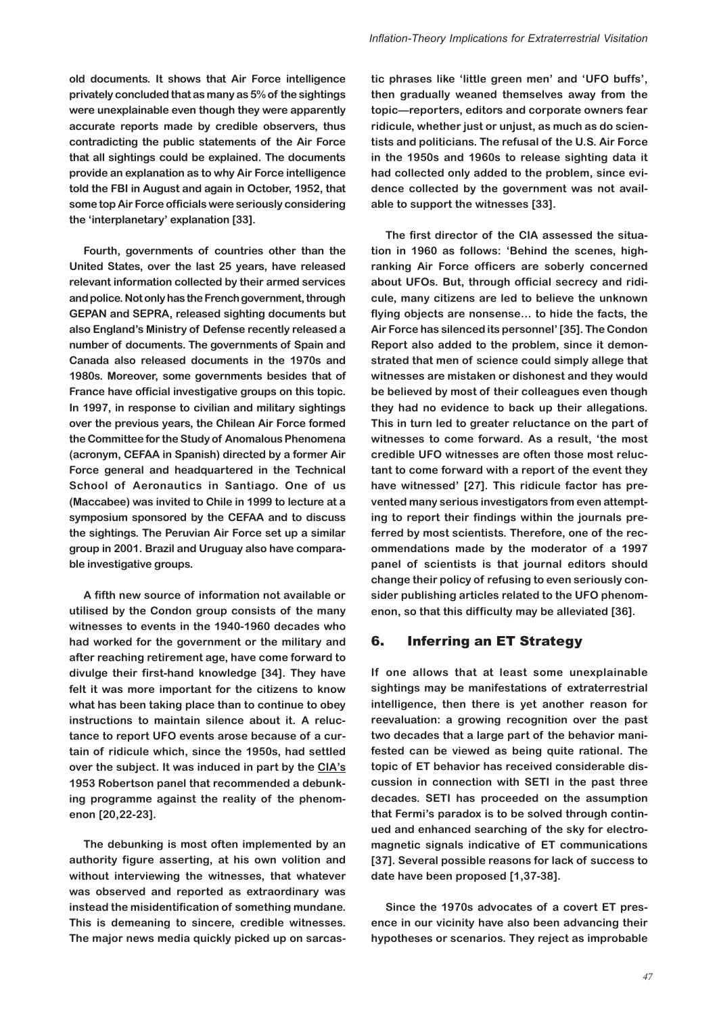**old documents. It shows that Air Force intelligence privately concluded that as many as 5% of the sightings were unexplainable even though they were apparently accurate reports made by credible observers, thus contradicting the public statements of the Air Force that all sightings could be explained. The documents provide an explanation as to why Air Force intelligence told the FBI in August and again in October, 1952, that some top Air Force officials were seriously considering the 'interplanetary' explanation [33].**

**Fourth, governments of countries other than the United States, over the last 25 years, have released relevant information collected by their armed services and police. Not only has the French government, through GEPAN and SEPRA, released sighting documents but also England's Ministry of Defense recently released a number of documents. The governments of Spain and Canada also released documents in the 1970s and 1980s. Moreover, some governments besides that of France have official investigative groups on this topic. In 1997, in response to civilian and military sightings over the previous years, the Chilean Air Force formed the Committee for the Study of Anomalous Phenomena (acronym, CEFAA in Spanish) directed by a former Air Force general and headquartered in the Technical School of Aeronautics in Santiago. One of us (Maccabee) was invited to Chile in 1999 to lecture at a symposium sponsored by the CEFAA and to discuss the sightings. The Peruvian Air Force set up a similar group in 2001. Brazil and Uruguay also have comparable investigative groups.**

**A fifth new source of information not available or utilised by the Condon group consists of the many witnesses to events in the 1940-1960 decades who had worked for the government or the military and after reaching retirement age, have come forward to divulge their first-hand knowledge [34]. They have felt it was more important for the citizens to know what has been taking place than to continue to obey instructions to maintain silence about it. A reluctance to report UFO events arose because of a curtain of ridicule which, since the 1950s, had settled over the subject. It was induced in part by the CIA's 1953 Robertson panel that recommended a debunking programme against the reality of the phenomenon [20,22-23].**

**The debunking is most often implemented by an authority figure asserting, at his own volition and without interviewing the witnesses, that whatever was observed and reported as extraordinary was instead the misidentification of something mundane. This is demeaning to sincere, credible witnesses. The major news media quickly picked up on sarcas-** **tic phrases like 'little green men' and 'UFO buffs', then gradually weaned themselves away from the topic—reporters, editors and corporate owners fear ridicule, whether just or unjust, as much as do scientists and politicians. The refusal of the U.S. Air Force in the 1950s and 1960s to release sighting data it had collected only added to the problem, since evidence collected by the government was not available to support the witnesses [33].**

**The first director of the CIA assessed the situation in 1960 as follows: 'Behind the scenes, highranking Air Force officers are soberly concerned about UFOs. But, through official secrecy and ridicule, many citizens are led to believe the unknown flying objects are nonsense… to hide the facts, the Air Force has silenced its personnel' [35]. The Condon Report also added to the problem, since it demonstrated that men of science could simply allege that witnesses are mistaken or dishonest and they would be believed by most of their colleagues even though they had no evidence to back up their allegations. This in turn led to greater reluctance on the part of witnesses to come forward. As a result, 'the most credible UFO witnesses are often those most reluctant to come forward with a report of the event they have witnessed' [27]. This ridicule factor has prevented many serious investigators from even attempting to report their findings within the journals preferred by most scientists. Therefore, one of the recommendations made by the moderator of a 1997 panel of scientists is that journal editors should change their policy of refusing to even seriously consider publishing articles related to the UFO phenomenon, so that this difficulty may be alleviated [36].**

## 6. Inferring an ET Strategy

**If one allows that at least some unexplainable sightings may be manifestations of extraterrestrial intelligence, then there is yet another reason for reevaluation: a growing recognition over the past two decades that a large part of the behavior manifested can be viewed as being quite rational. The topic of ET behavior has received considerable discussion in connection with SETI in the past three decades. SETI has proceeded on the assumption that Fermi's paradox is to be solved through continued and enhanced searching of the sky for electromagnetic signals indicative of ET communications [37]. Several possible reasons for lack of success to date have been proposed [1,37-38].**

**Since the 1970s advocates of a covert ET presence in our vicinity have also been advancing their hypotheses or scenarios. They reject as improbable**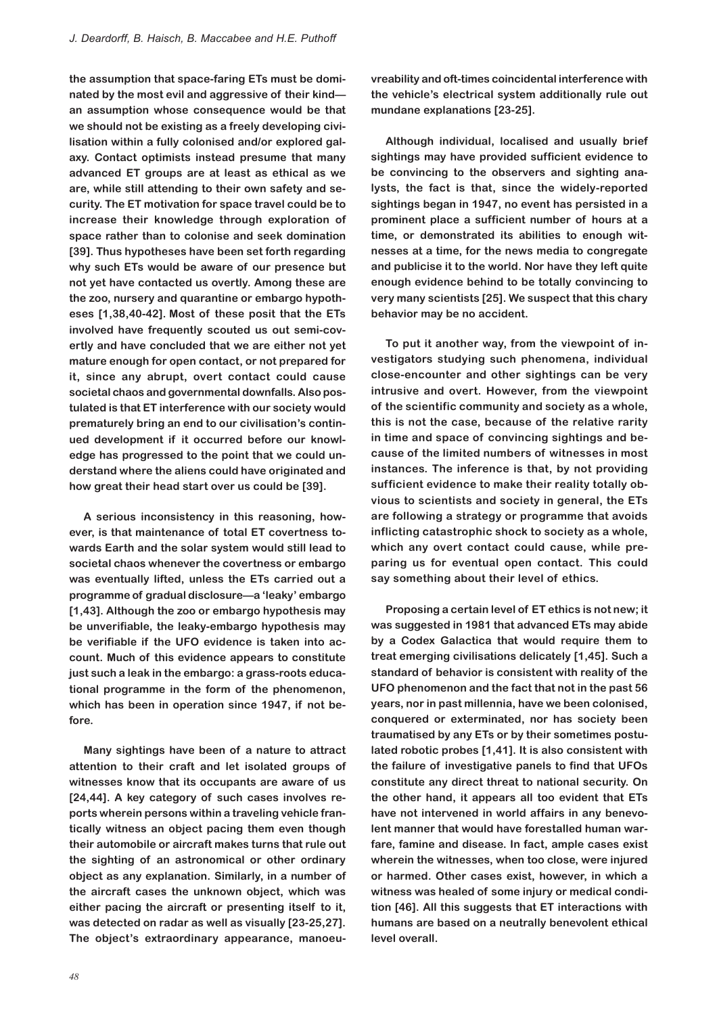**the assumption that space-faring ETs must be dominated by the most evil and aggressive of their kind an assumption whose consequence would be that we should not be existing as a freely developing civilisation within a fully colonised and/or explored galaxy. Contact optimists instead presume that many advanced ET groups are at least as ethical as we are, while still attending to their own safety and security. The ET motivation for space travel could be to increase their knowledge through exploration of space rather than to colonise and seek domination [39]. Thus hypotheses have been set forth regarding why such ETs would be aware of our presence but not yet have contacted us overtly. Among these are the zoo, nursery and quarantine or embargo hypotheses [1,38,40-42]. Most of these posit that the ETs involved have frequently scouted us out semi-covertly and have concluded that we are either not yet mature enough for open contact, or not prepared for it, since any abrupt, overt contact could cause societal chaos and governmental downfalls. Also postulated is that ET interference with our society would prematurely bring an end to our civilisation's continued development if it occurred before our knowledge has progressed to the point that we could understand where the aliens could have originated and how great their head start over us could be [39].**

**A serious inconsistency in this reasoning, however, is that maintenance of total ET covertness towards Earth and the solar system would still lead to societal chaos whenever the covertness or embargo was eventually lifted, unless the ETs carried out a programme of gradual disclosure—a 'leaky' embargo [1,43]. Although the zoo or embargo hypothesis may be unverifiable, the leaky-embargo hypothesis may be verifiable if the UFO evidence is taken into account. Much of this evidence appears to constitute just such a leak in the embargo: a grass-roots educational programme in the form of the phenomenon, which has been in operation since 1947, if not before.**

**Many sightings have been of a nature to attract attention to their craft and let isolated groups of witnesses know that its occupants are aware of us [24,44]. A key category of such cases involves reports wherein persons within a traveling vehicle frantically witness an object pacing them even though their automobile or aircraft makes turns that rule out the sighting of an astronomical or other ordinary object as any explanation. Similarly, in a number of the aircraft cases the unknown object, which was either pacing the aircraft or presenting itself to it, was detected on radar as well as visually [23-25,27]. The object's extraordinary appearance, manoeu-** **vreability and oft-times coincidental interference with the vehicle's electrical system additionally rule out mundane explanations [23-25].**

**Although individual, localised and usually brief sightings may have provided sufficient evidence to be convincing to the observers and sighting analysts, the fact is that, since the widely-reported sightings began in 1947, no event has persisted in a prominent place a sufficient number of hours at a time, or demonstrated its abilities to enough witnesses at a time, for the news media to congregate and publicise it to the world. Nor have they left quite enough evidence behind to be totally convincing to very many scientists [25]. We suspect that this chary behavior may be no accident.**

**To put it another way, from the viewpoint of investigators studying such phenomena, individual close-encounter and other sightings can be very intrusive and overt. However, from the viewpoint of the scientific community and society as a whole, this is not the case, because of the relative rarity in time and space of convincing sightings and because of the limited numbers of witnesses in most instances. The inference is that, by not providing sufficient evidence to make their reality totally obvious to scientists and society in general, the ETs are following a strategy or programme that avoids inflicting catastrophic shock to society as a whole, which any overt contact could cause, while preparing us for eventual open contact. This could say something about their level of ethics.**

**Proposing a certain level of ET ethics is not new; it was suggested in 1981 that advanced ETs may abide by a Codex Galactica that would require them to treat emerging civilisations delicately [1,45]. Such a standard of behavior is consistent with reality of the UFO phenomenon and the fact that not in the past 56 years, nor in past millennia, have we been colonised, conquered or exterminated, nor has society been traumatised by any ETs or by their sometimes postulated robotic probes [1,41]. It is also consistent with the failure of investigative panels to find that UFOs constitute any direct threat to national security. On the other hand, it appears all too evident that ETs have not intervened in world affairs in any benevolent manner that would have forestalled human warfare, famine and disease. In fact, ample cases exist wherein the witnesses, when too close, were injured or harmed. Other cases exist, however, in which a witness was healed of some injury or medical condition [46]. All this suggests that ET interactions with humans are based on a neutrally benevolent ethical level overall.**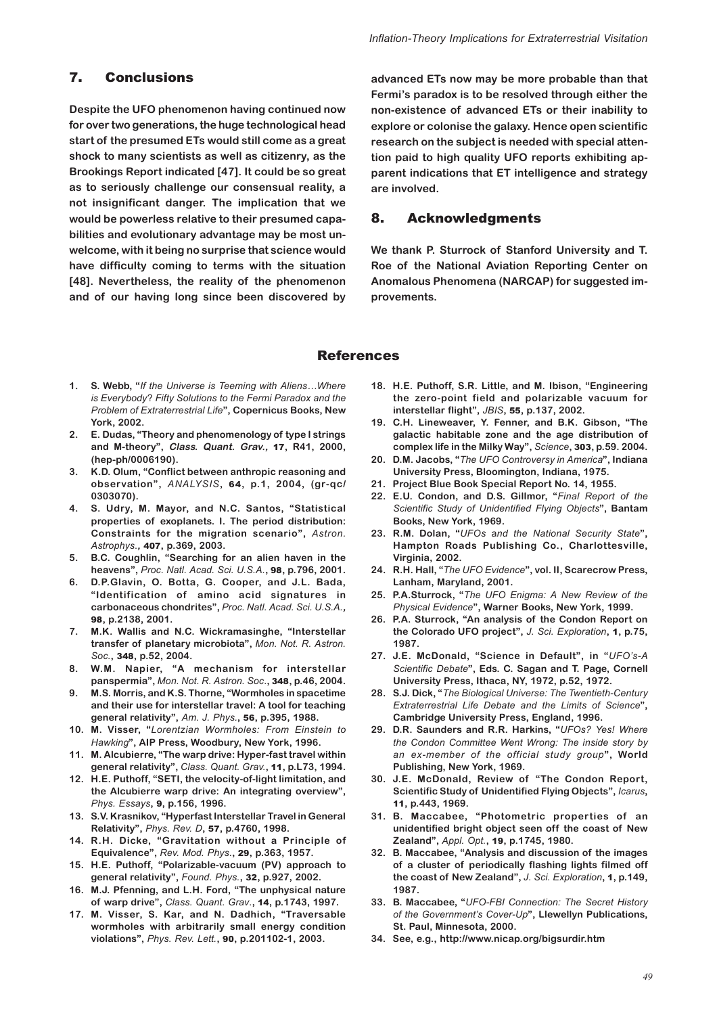#### 7. Conclusions

**Despite the UFO phenomenon having continued now for over two generations, the huge technological head start of the presumed ETs would still come as a great shock to many scientists as well as citizenry, as the Brookings Report indicated [47]. It could be so great as to seriously challenge our consensual reality, a not insignificant danger. The implication that we would be powerless relative to their presumed capabilities and evolutionary advantage may be most unwelcome, with it being no surprise that science would have difficulty coming to terms with the situation [48]. Nevertheless, the reality of the phenomenon and of our having long since been discovered by**

**advanced ETs now may be more probable than that Fermi's paradox is to be resolved through either the non-existence of advanced ETs or their inability to explore or colonise the galaxy. Hence open scientific research on the subject is needed with special attention paid to high quality UFO reports exhibiting apparent indications that ET intelligence and strategy are involved.**

## 8. Acknowledgments

**We thank P. Sturrock of Stanford University and T. Roe of the National Aviation Reporting Center on Anomalous Phenomena (NARCAP) for suggested improvements.**

#### References

- **1. S. Webb, "***If the Universe is Teeming with Aliens…Where is Everybody*? *Fifty Solutions to the Fermi Paradox and the Problem of Extraterrestrial Life***", Copernicus Books, New York, 2002.**
- **2. E. Dudas, "Theory and phenomenology of type I strings and M-theory", Class. Quant. Grav.,** 17**, R41, 2000, (hep-ph/0006190).**
- **3. K.D. Olum, "Conflict between anthropic reasoning and observation",** *ANALYSIS***,** 64**, p.1, 2004, (gr-qc/ 0303070).**
- **4. S. Udry, M. Mayor, and N.C. Santos, "Statistical properties of exoplanets. I. The period distribution: Constraints for the migration scenario",** *Astron. Astrophys*.**,** 407**, p.369, 2003.**
- **5. B.C. Coughlin, "Searching for an alien haven in the heavens",** *Proc. Natl. Acad. Sci. U.S.A*.**,** 98**, p.796, 2001.**
- **6. D.P.Glavin, O. Botta, G. Cooper, and J.L. Bada, "Identification of amino acid signatures in carbonaceous chondrites",** *Proc. Natl. Acad. Sci. U.S.A.***,** 98**, p.2138, 2001.**
- **7. M.K. Wallis and N.C. Wickramasinghe, "Interstellar transfer of planetary microbiota",** *Mon. Not. R. Astron. Soc.***,** 348**, p.52, 2004.**
- **8. W.M. Napier, "A mechanism for interstellar panspermia",** *Mon. Not. R. Astron. Soc*.**,** 348**, p.46, 2004.**
- **9. M.S. Morris, and K.S. Thorne, "Wormholes in spacetime and their use for interstellar travel: A tool for teaching general relativity",** *Am. J. Phys.***,** 56**, p.395, 1988.**
- **10. M. Visser, "***Lorentzian Wormholes: From Einstein to Hawking***", AIP Press, Woodbury, New York, 1996.**
- **11. M. Alcubierre, "The warp drive: Hyper-fast travel within general relativity",** *Class. Quant. Grav.***,** 11**, p.L73, 1994.**
- **12. H.E. Puthoff, "SETI, the velocity-of-light limitation, and the Alcubierre warp drive: An integrating overview",** *Phys. Essays***,** 9**, p.156, 1996.**
- **13. S.V. Krasnikov, "Hyperfast Interstellar Travel in General Relativity",** *Phys. Rev. D***,** 57**, p.4760, 1998.**
- **14. R.H. Dicke, "Gravitation without a Principle of Equivalence",** *Rev. Mod. Phys*.**,** 29**, p.363, 1957.**
- **15. H.E. Puthoff, "Polarizable-vacuum (PV) approach to general relativity",** *Found. Phys.***,** 32**, p.927, 2002.**
- **16. M.J. Pfenning, and L.H. Ford, "The unphysical nature of warp drive",** *Class. Quant. Grav*.**,** 14**, p.1743, 1997.**
- **17. M. Visser, S. Kar, and N. Dadhich, "Traversable wormholes with arbitrarily small energy condition violations",** *Phys. Rev. Lett.***,** 90**, p.201102-1, 2003.**
- **18. H.E. Puthoff, S.R. Little, and M. Ibison, "Engineering the zero-point field and polarizable vacuum for interstellar flight",** *JBIS***,** 55**, p.137, 2002.**
- **19. C.H. Lineweaver, Y. Fenner, and B.K. Gibson, "The galactic habitable zone and the age distribution of complex life in the Milky Way",** *Science***,** 303**, p.59. 2004.**
- **20. D.M. Jacobs, "***The UFO Controversy in America***", Indiana University Press, Bloomington, Indiana, 1975.**
- **21. Project Blue Book Special Report No. 14, 1955.**
- **22. E.U. Condon, and D.S. Gillmor, "***Final Report of the Scientific Study of Unidentified Flying Objects***", Bantam Books, New York, 1969.**
- **23. R.M. Dolan, "***UFOs* a*nd the National Security State***", Hampton Roads Publishing Co., Charlottesville, Virginia, 2002.**
- **24. R.H. Hall, "***The UFO Evidence***", vol. II, Scarecrow Press, Lanham, Maryland, 2001.**
- **25. P.A.Sturrock, "***The UFO Enigma: A New Review of the Physical Evidence***", Warner Books, New York, 1999.**
- **26. P.A. Sturrock, "An analysis of the Condon Report on the Colorado UFO project",** *J. Sci. Exploration***,** 1**, p.75, 1987.**
- **27. J.E. McDonald, "Science in Default", in "***UFO's-A Scientific Debate***", Eds. C. Sagan and T. Page, Cornell University Press, Ithaca, NY, 1972, p.52, 1972.**
- **28. S.J. Dick, "***The Biological Universe: The Twentieth-Century Extraterrestrial Life Debate and the Limits of Science***", Cambridge University Press, England, 1996.**
- **29. D.R. Saunders and R.R. Harkins, "***UFOs? Yes! Where the Condon Committee Went Wrong: The inside story by an ex-member of the official study group***", World Publishing, New York, 1969.**
- **30. J.E. McDonald, Review of "The Condon Report, Scientific Study of Unidentified Flying Objects",** *Icarus***,** 11**, p.443, 1969.**
- **31. B. Maccabee, "Photometric properties of an unidentified bright object seen off the coast of New Zealand",** *Appl. Opt.***,** 19**, p.1745, 1980.**
- **32. B. Maccabee, "Analysis and discussion of the images of a cluster of periodically flashing lights filmed off the coast of New Zealand",** *J. Sci. Exploration***,** 1**, p.149, 1987.**
- **33. B. Maccabee, "***UFO-FBI Connection: The Secret History of the Government's Cover-Up***", Llewellyn Publications, St. Paul, Minnesota, 2000.**
- **34. See, e.g., http://www.nicap.org/bigsurdir.htm**